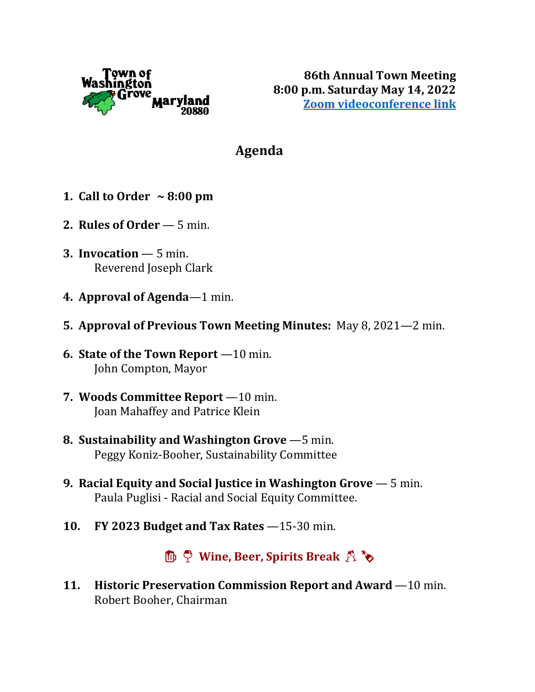

**86th Annual Town Meeting 8:00 p.m. Saturday May 14, 2022 [Zoom videoconference](https://us02web.zoom.us/j/82756411912?pwd=VUtVL0piS083bkNEWVg2UjQrTHdhUT09) link**

## **Agenda**

- **1. Call to Order ~ 8:00 pm**
- **2. Rules of Order** 5 min.
- **3. Invocation** 5 min. Reverend Joseph Clark
- **4. Approval of Agenda**—1 min.
- **5. Approval of Previous Town Meeting Minutes:** May 8, 2021—2 min.
- **6. State of the Town Report** —10 min. John Compton, Mayor
- **7. Woods Committee Report** —10 min. Joan Mahaffey and Patrice Klein
- **8. Sustainability and Washington Grove** —5 min. Peggy Koniz-Booher, Sustainability Committee
- **9. Racial Equity and Social Justice in Washington Grove** 5 min. Paula Puglisi - Racial and Social Equity Committee.
- **10. FY 2023 Budget and Tax Rates** —15-30 min.

*I*  $\phi$  **Wine, Beer, Spirits Break**  $\beta$   $\phi$ 

**11. Historic Preservation Commission Report and Award** —10 min. Robert Booher, Chairman